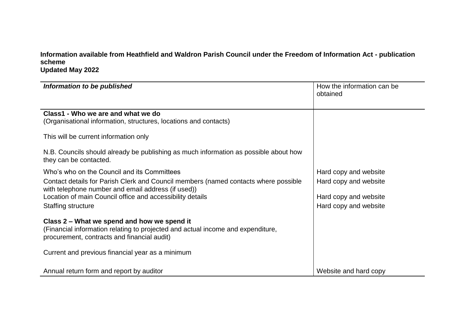**Information available from Heathfield and Waldron Parish Council under the Freedom of Information Act - publication scheme Updated May 2022**

| Information to be published                                                                                                                                                                                                                                                 | How the information can be<br>obtained                                                           |
|-----------------------------------------------------------------------------------------------------------------------------------------------------------------------------------------------------------------------------------------------------------------------------|--------------------------------------------------------------------------------------------------|
| Class1 - Who we are and what we do<br>(Organisational information, structures, locations and contacts)                                                                                                                                                                      |                                                                                                  |
| This will be current information only                                                                                                                                                                                                                                       |                                                                                                  |
| N.B. Councils should already be publishing as much information as possible about how<br>they can be contacted.                                                                                                                                                              |                                                                                                  |
| Who's who on the Council and its Committees<br>Contact details for Parish Clerk and Council members (named contacts where possible<br>with telephone number and email address (if used))<br>Location of main Council office and accessibility details<br>Staffing structure | Hard copy and website<br>Hard copy and website<br>Hard copy and website<br>Hard copy and website |
| Class 2 – What we spend and how we spend it<br>(Financial information relating to projected and actual income and expenditure,<br>procurement, contracts and financial audit)                                                                                               |                                                                                                  |
| Current and previous financial year as a minimum                                                                                                                                                                                                                            |                                                                                                  |
| Annual return form and report by auditor                                                                                                                                                                                                                                    | Website and hard copy                                                                            |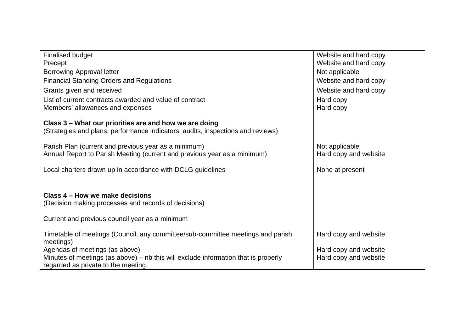| <b>Finalised budget</b>                                                                                                     | Website and hard copy |
|-----------------------------------------------------------------------------------------------------------------------------|-----------------------|
| Precept                                                                                                                     | Website and hard copy |
| <b>Borrowing Approval letter</b>                                                                                            | Not applicable        |
| <b>Financial Standing Orders and Regulations</b>                                                                            | Website and hard copy |
| Grants given and received                                                                                                   | Website and hard copy |
| List of current contracts awarded and value of contract                                                                     | Hard copy             |
| Members' allowances and expenses                                                                                            | Hard copy             |
| Class 3 - What our priorities are and how we are doing                                                                      |                       |
| (Strategies and plans, performance indicators, audits, inspections and reviews)                                             |                       |
| Parish Plan (current and previous year as a minimum)                                                                        | Not applicable        |
| Annual Report to Parish Meeting (current and previous year as a minimum)                                                    | Hard copy and website |
| Local charters drawn up in accordance with DCLG guidelines                                                                  | None at present       |
| Class 4 – How we make decisions                                                                                             |                       |
| (Decision making processes and records of decisions)                                                                        |                       |
| Current and previous council year as a minimum                                                                              |                       |
| Timetable of meetings (Council, any committee/sub-committee meetings and parish<br>meetings)                                | Hard copy and website |
| Agendas of meetings (as above)                                                                                              | Hard copy and website |
| Minutes of meetings (as above) $-$ nb this will exclude information that is properly<br>regarded as private to the meeting. | Hard copy and website |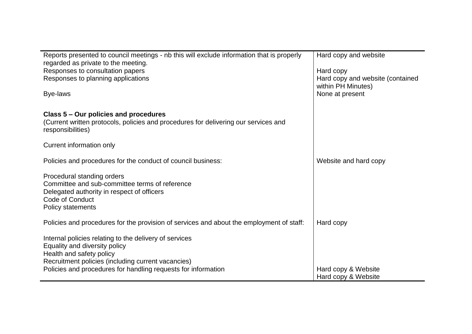| Reports presented to council meetings - nb this will exclude information that is properly<br>regarded as private to the meeting.<br>Responses to consultation papers<br>Responses to planning applications<br>Bye-laws                     | Hard copy and website<br>Hard copy<br>Hard copy and website (contained<br>within PH Minutes)<br>None at present |
|--------------------------------------------------------------------------------------------------------------------------------------------------------------------------------------------------------------------------------------------|-----------------------------------------------------------------------------------------------------------------|
| Class 5 – Our policies and procedures<br>(Current written protocols, policies and procedures for delivering our services and<br>responsibilities)                                                                                          |                                                                                                                 |
| Current information only                                                                                                                                                                                                                   |                                                                                                                 |
| Policies and procedures for the conduct of council business:                                                                                                                                                                               | Website and hard copy                                                                                           |
| Procedural standing orders<br>Committee and sub-committee terms of reference<br>Delegated authority in respect of officers<br><b>Code of Conduct</b><br>Policy statements                                                                  |                                                                                                                 |
| Policies and procedures for the provision of services and about the employment of staff:                                                                                                                                                   | Hard copy                                                                                                       |
| Internal policies relating to the delivery of services<br>Equality and diversity policy<br>Health and safety policy<br>Recruitment policies (including current vacancies)<br>Policies and procedures for handling requests for information | Hard copy & Website                                                                                             |
|                                                                                                                                                                                                                                            | Hard copy & Website                                                                                             |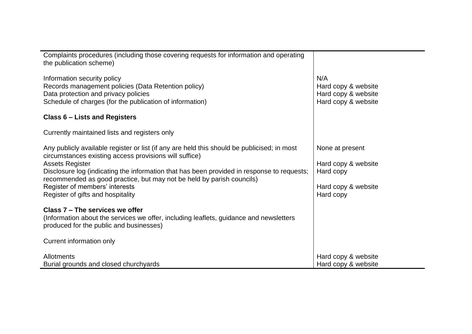| Complaints procedures (including those covering requests for information and operating<br>the publication scheme)                                                                                                                                                                                                                                                                                                             |                                                                                         |
|-------------------------------------------------------------------------------------------------------------------------------------------------------------------------------------------------------------------------------------------------------------------------------------------------------------------------------------------------------------------------------------------------------------------------------|-----------------------------------------------------------------------------------------|
| Information security policy<br>Records management policies (Data Retention policy)<br>Data protection and privacy policies<br>Schedule of charges (for the publication of information)                                                                                                                                                                                                                                        | N/A<br>Hard copy & website<br>Hard copy & website<br>Hard copy & website                |
| Class 6 – Lists and Registers                                                                                                                                                                                                                                                                                                                                                                                                 |                                                                                         |
| Currently maintained lists and registers only                                                                                                                                                                                                                                                                                                                                                                                 |                                                                                         |
| Any publicly available register or list (if any are held this should be publicised; in most<br>circumstances existing access provisions will suffice)<br><b>Assets Register</b><br>Disclosure log (indicating the information that has been provided in response to requests;<br>recommended as good practice, but may not be held by parish councils)<br>Register of members' interests<br>Register of gifts and hospitality | None at present<br>Hard copy & website<br>Hard copy<br>Hard copy & website<br>Hard copy |
| Class 7 – The services we offer<br>(Information about the services we offer, including leaflets, guidance and newsletters<br>produced for the public and businesses)                                                                                                                                                                                                                                                          |                                                                                         |
| Current information only                                                                                                                                                                                                                                                                                                                                                                                                      |                                                                                         |
| <b>Allotments</b><br>Burial grounds and closed churchyards                                                                                                                                                                                                                                                                                                                                                                    | Hard copy & website<br>Hard copy & website                                              |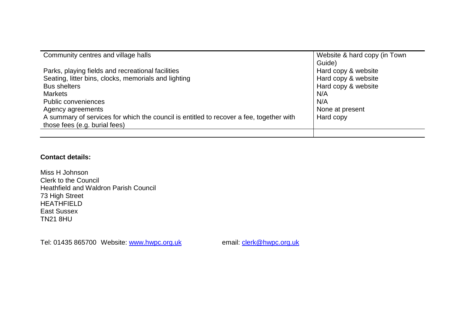| Community centres and village halls                                                     | Website & hard copy (in Town |
|-----------------------------------------------------------------------------------------|------------------------------|
|                                                                                         | Guide)                       |
| Parks, playing fields and recreational facilities                                       | Hard copy & website          |
| Seating, litter bins, clocks, memorials and lighting                                    | Hard copy & website          |
| <b>Bus shelters</b>                                                                     | Hard copy & website          |
| <b>Markets</b>                                                                          | N/A                          |
| Public conveniences                                                                     | N/A                          |
| Agency agreements                                                                       | None at present              |
| A summary of services for which the council is entitled to recover a fee, together with | Hard copy                    |
| those fees (e.g. burial fees)                                                           |                              |
|                                                                                         |                              |

## **Contact details:**

Miss H Johnson Clerk to the Council Heathfield and Waldron Parish Council 73 High Street HEATHFIELD East Sussex TN21 8HU

Tel: 01435 865700 Website: [www.hwpc.org.uk](http://www.hwpc.org.uk/) email: [clerk@hwpc.org.uk](mailto:clerk@hwpc.org.uk)